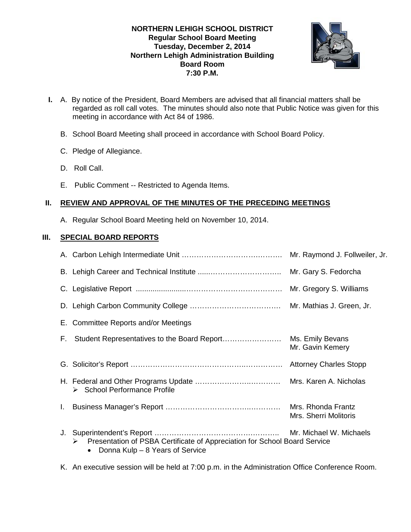### **NORTHERN LEHIGH SCHOOL DISTRICT Regular School Board Meeting Tuesday, December 2, 2014 Northern Lehigh Administration Building Board Room 7:30 P.M.**



- **I.** A. By notice of the President, Board Members are advised that all financial matters shall be regarded as roll call votes. The minutes should also note that Public Notice was given for this meeting in accordance with Act 84 of 1986.
	- B. School Board Meeting shall proceed in accordance with School Board Policy.
	- C. Pledge of Allegiance.
	- D. Roll Call.
	- E. Public Comment -- Restricted to Agenda Items.

# **II. REVIEW AND APPROVAL OF THE MINUTES OF THE PRECEDING MEETINGS**

A. Regular School Board Meeting held on November 10, 2014.

# **III. SPECIAL BOARD REPORTS**

|    |                                                                                                                   | Mr. Raymond J. Follweiler, Jr.              |
|----|-------------------------------------------------------------------------------------------------------------------|---------------------------------------------|
|    |                                                                                                                   |                                             |
|    |                                                                                                                   |                                             |
|    |                                                                                                                   |                                             |
|    | E. Committee Reports and/or Meetings                                                                              |                                             |
| F. |                                                                                                                   | Mr. Gavin Kemery                            |
|    |                                                                                                                   |                                             |
|    | $\triangleright$ School Performance Profile                                                                       |                                             |
|    |                                                                                                                   | Mrs. Rhonda Frantz<br>Mrs. Sherri Molitoris |
| J. | Presentation of PSBA Certificate of Appreciation for School Board Service<br>➤<br>Donna Kulp - 8 Years of Service |                                             |

K. An executive session will be held at 7:00 p.m. in the Administration Office Conference Room.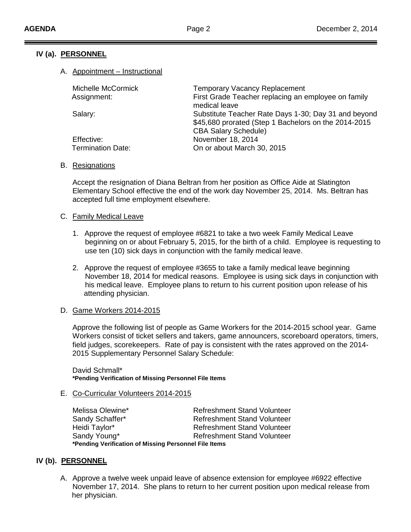# **IV (a). PERSONNEL**

#### A. Appointment – Instructional

| Michelle McCormick       | <b>Temporary Vacancy Replacement</b>                 |
|--------------------------|------------------------------------------------------|
| Assignment:              | First Grade Teacher replacing an employee on family  |
|                          | medical leave                                        |
| Salary:                  | Substitute Teacher Rate Days 1-30; Day 31 and beyond |
|                          | \$45,680 prorated (Step 1 Bachelors on the 2014-2015 |
|                          | <b>CBA Salary Schedule)</b>                          |
| Effective:               | November 18, 2014                                    |
| <b>Termination Date:</b> | On or about March 30, 2015                           |
|                          |                                                      |

#### B. Resignations

Accept the resignation of Diana Beltran from her position as Office Aide at Slatington Elementary School effective the end of the work day November 25, 2014. Ms. Beltran has accepted full time employment elsewhere.

#### C. Family Medical Leave

- 1. Approve the request of employee #6821 to take a two week Family Medical Leave beginning on or about February 5, 2015, for the birth of a child. Employee is requesting to use ten (10) sick days in conjunction with the family medical leave.
- 2. Approve the request of employee #3655 to take a family medical leave beginning November 18, 2014 for medical reasons. Employee is using sick days in conjunction with his medical leave. Employee plans to return to his current position upon release of his attending physician.

# D. Game Workers 2014-2015

Approve the following list of people as Game Workers for the 2014-2015 school year. Game Workers consist of ticket sellers and takers, game announcers, scoreboard operators, timers, field judges, scorekeepers. Rate of pay is consistent with the rates approved on the 2014- 2015 Supplementary Personnel Salary Schedule:

David Schmall\* **\*Pending Verification of Missing Personnel File Items**

### E. Co-Curricular Volunteers 2014-2015

Melissa Olewine\* The Refreshment Stand Volunteer Sandy Schaffer\* Refreshment Stand Volunteer Heidi Taylor\* Refreshment Stand Volunteer Sandy Young\* The Refreshment Stand Volunteer **\*Pending Verification of Missing Personnel File Items**

### **IV (b). PERSONNEL**

A. Approve a twelve week unpaid leave of absence extension for employee #6922 effective November 17, 2014. She plans to return to her current position upon medical release from her physician.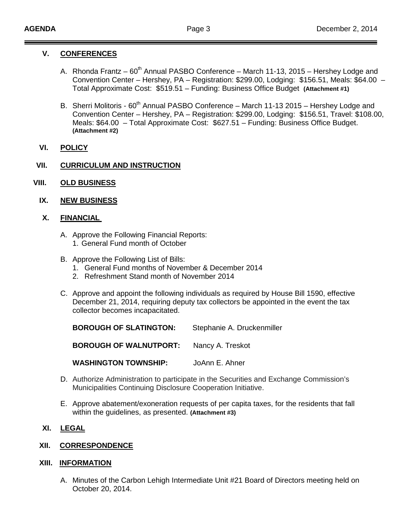#### **V. CONFERENCES**

- A. Rhonda Frantz  $60^{th}$  Annual PASBO Conference March 11-13, 2015 Hershey Lodge and Convention Center – Hershey, PA – Registration: \$299.00, Lodging: \$156.51, Meals: \$64.00 – Total Approximate Cost: \$519.51 – Funding: Business Office Budget **(Attachment #1)**
- B. Sherri Molitoris 60<sup>th</sup> Annual PASBO Conference March 11-13 2015 Hershey Lodge and Convention Center – Hershey, PA – Registration: \$299.00, Lodging: \$156.51, Travel: \$108.00, Meals: \$64.00 – Total Approximate Cost: \$627.51 – Funding: Business Office Budget. **(Attachment #2)**
- **VI. POLICY**

#### **VII. CURRICULUM AND INSTRUCTION**

- **VIII. OLD BUSINESS**
	- **IX. NEW BUSINESS**

#### **X. FINANCIAL**

- A. Approve the Following Financial Reports:
	- 1. General Fund month of October
- B. Approve the Following List of Bills:
	- 1. General Fund months of November & December 2014
	- 2. Refreshment Stand month of November 2014
- C. Approve and appoint the following individuals as required by House Bill 1590, effective December 21, 2014, requiring deputy tax collectors be appointed in the event the tax collector becomes incapacitated.

| <b>BOROUGH OF SLATINGTON:</b> | Stephanie A. Druckenmiller |
|-------------------------------|----------------------------|
| <b>BOROUGH OF WALNUTPORT:</b> | Nancy A. Treskot           |
| <b>WASHINGTON TOWNSHIP:</b>   | JoAnn E. Ahner             |

- D. Authorize Administration to participate in the Securities and Exchange Commission's Municipalities Continuing Disclosure Cooperation Initiative.
- E. Approve abatement/exoneration requests of per capita taxes, for the residents that fall within the guidelines, as presented. **(Attachment #3)**

# **XI. LEGAL**

### **XII. CORRESPONDENCE**

#### **XIII. INFORMATION**

A. Minutes of the Carbon Lehigh Intermediate Unit #21 Board of Directors meeting held on October 20, 2014.